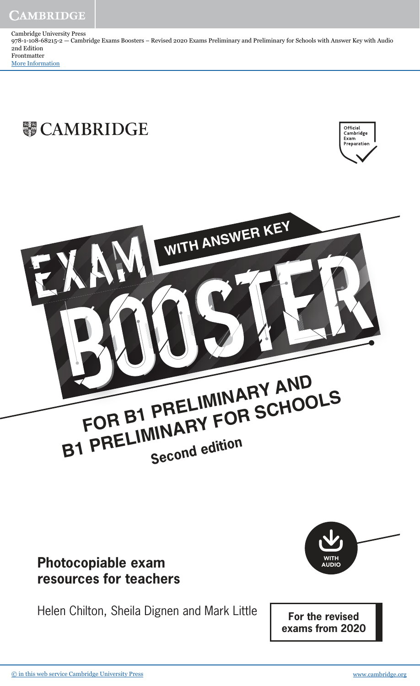Cambridge University Press 978-1-108-68215-2 — Cambridge Exams Boosters – Revised 2020 Exams Preliminary and Preliminary for Schools with Answer Key with Audio 2nd Edition Frontmatter [More Information](www.cambridge.org/9781108682152)

## **WE CAMBRIDGE**





## **Photocopiable exam resources for teachers**

Helen Chilton, Sheila Dignen and Mark Little



**For the revised exams from 2020**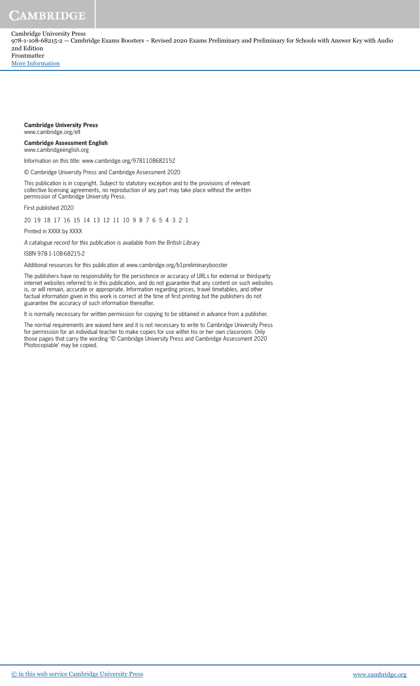Cambridge University Press 978-1-108-68215-2 — Cambridge Exams Boosters – Revised 2020 Exams Preliminary and Preliminary for Schools with Answer Key with Audio 2nd Edition Frontmatter

[More Information](www.cambridge.org/9781108682152)

#### **Cambridge University Press** www.cambridge.org/elt

#### **Cambridge Assessment English** www.cambridgeenglish.org

Information on this title: www.cambridge.org/9781108682152

© Cambridge University Press and Cambridge Assessment 2020

This publication is in copyright. Subject to statutory exception and to the provisions of relevant collective licensing agreements, no reproduction of any part may take place without the written permission of Cambridge University Press.

First published 2020

20 19 18 17 16 15 14 13 12 11 10 9 8 7 6 5 4 3 2 1

Printed in XXXX by XXXX

A catalogue record for this publication is available from the British Library

#### ISBN 978-1-108-68215-2

Additional resources for this publication at www.cambridge.org/b1preliminarybooster

The publishers have no responsibility for the persistence or accuracy of URLs for external or third-party internet websites referred to in this publication, and do not guarantee that any content on such websites is, or will remain, accurate or appropriate. Information regarding prices, travel timetables, and other factual information given in this work is correct at the time of first printing but the publishers do not guarantee the accuracy of such information thereafter.

It is normally necessary for written permission for copying to be obtained in advance from a publisher.

The normal requirements are waived here and it is not necessary to write to Cambridge University Press for permission for an individual teacher to make copies for use within his or her own classroom. Only those pages that carry the wording '© Cambridge University Press and Cambridge Assessment 2020 Photocopiable' may be copied.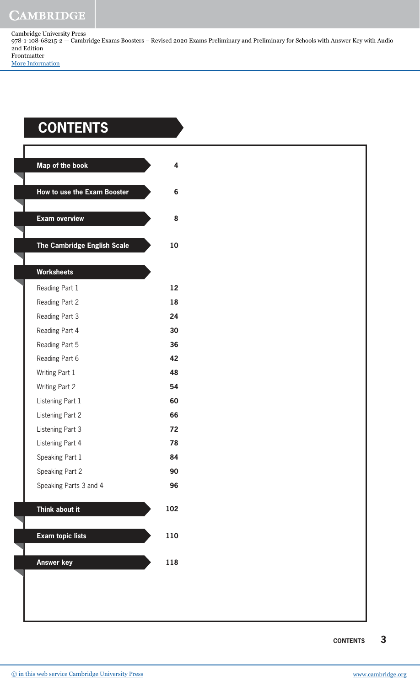Cambridge University Press 978-1-108-68215-2 — Cambridge Exams Boosters – Revised 2020 Exams Preliminary and Preliminary for Schools with Answer Key with Audio 2nd Edition Frontmatter [More Information](www.cambridge.org/9781108682152)

## **ContEntS**

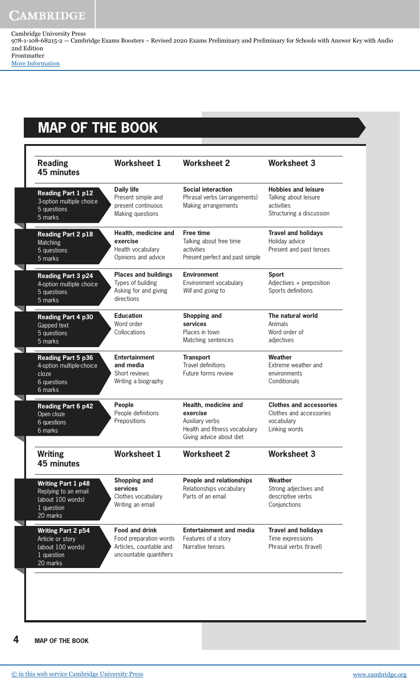Cambridge University Press 978-1-108-68215-2 — Cambridge Exams Boosters – Revised 2020 Exams Preliminary and Preliminary for Schools with Answer Key with Audio 2nd Edition Frontmatter

[More Information](www.cambridge.org/9781108682152)

## **MAP oF tHE BooK**

| <b>Daily life</b><br>Present simple and<br>present continuous<br>Making questions                     | <b>Social interaction</b><br>Phrasal verbs (arrangements)<br>Making arrangements                                 | <b>Hobbies and leisure</b><br>Talking about leisure<br>activities<br>Structuring a discussion |
|-------------------------------------------------------------------------------------------------------|------------------------------------------------------------------------------------------------------------------|-----------------------------------------------------------------------------------------------|
| Health, medicine and<br>exercise<br>Health vocabulary<br>Opinions and advice                          | <b>Free time</b><br>Talking about free time<br>activities<br>Present perfect and past simple                     | <b>Travel and holidays</b><br>Holiday advice<br>Present and past tenses                       |
| <b>Places and buildings</b><br>Types of building<br>Asking for and giving<br>directions               | <b>Environment</b><br>Environment vocabulary<br>Will and going to                                                | <b>Sport</b><br>Adjectives + preposition<br>Sports definitions                                |
| <b>Education</b><br>Word order<br>Collocations                                                        | <b>Shopping and</b><br>services<br>Places in town<br>Matching sentences                                          | The natural world<br>Animals<br>Word order of<br>adjectives                                   |
| <b>Entertainment</b><br>and media<br>Short reviews<br>Writing a biography                             | <b>Transport</b><br><b>Travel definitions</b><br>Future forms review                                             | Weather<br>Extreme weather and<br>environments<br>Conditionals                                |
| People<br>People definitions<br>Prepositions                                                          | Health, medicine and<br>exercise<br>Auxiliary verbs<br>Health and fitness vocabulary<br>Giving advice about diet | <b>Clothes and accessories</b><br>Clothes and accessories<br>vocabulary<br>Linking words      |
| <b>Worksheet 1</b>                                                                                    | <b>Worksheet 2</b>                                                                                               | <b>Worksheet 3</b>                                                                            |
| <b>Shopping and</b><br>services<br>Clothes vocabulary<br>Writing an email                             | <b>People and relationships</b><br>Relationships vocabulary<br>Parts of an email                                 | Weather<br>Strong adjectives and<br>descriptive verbs<br>Conjunctions                         |
| <b>Food and drink</b><br>Food preparation words<br>Articles, countable and<br>uncountable quantifiers | <b>Entertainment and media</b><br>Features of a story<br>Narrative tenses                                        | <b>Travel and holidays</b><br>Time expressions<br>Phrasal verbs (travel)                      |
|                                                                                                       |                                                                                                                  |                                                                                               |

**4 MAP oF tHE BooK**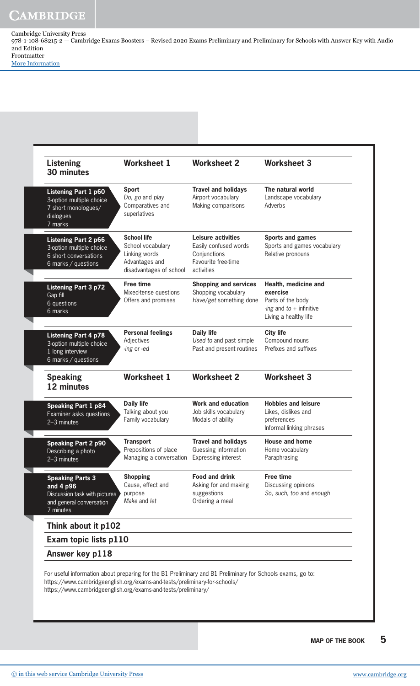Cambridge University Press 978-1-108-68215-2 — Cambridge Exams Boosters – Revised 2020 Exams Preliminary and Preliminary for Schools with Answer Key with Audio 2nd Edition Frontmatter

[More Information](www.cambridge.org/9781108682152)

| <b>Listening</b><br>30 minutes                                                                                 | <b>Worksheet 1</b>                                                                                    | <b>Worksheet 2</b>                                                                                      | <b>Worksheet 3</b>                                                                                           |
|----------------------------------------------------------------------------------------------------------------|-------------------------------------------------------------------------------------------------------|---------------------------------------------------------------------------------------------------------|--------------------------------------------------------------------------------------------------------------|
| Listening Part 1 p60<br>3-option multiple choice<br>7 short monologues/<br>dialogues<br>7 marks                | <b>Sport</b><br>Do, go and play<br>Comparatives and<br>superlatives                                   | <b>Travel and holidays</b><br>Airport vocabulary<br>Making comparisons                                  | The natural world<br>Landscape vocabulary<br>Adverbs                                                         |
| <b>Listening Part 2 p66</b><br>3-option multiple choice<br>6 short conversations<br>6 marks / questions        | <b>School life</b><br>School vocabulary<br>Linking words<br>Advantages and<br>disadvantages of school | <b>Leisure activities</b><br>Easily confused words<br>Conjunctions<br>Favourite free-time<br>activities | <b>Sports and games</b><br>Sports and games vocabulary<br>Relative pronouns                                  |
| <b>Listening Part 3 p72</b><br>Gap fill<br>6 questions<br>6 marks                                              | <b>Free time</b><br>Mixed-tense questions<br>Offers and promises                                      | <b>Shopping and services</b><br>Shopping vocabulary<br>Have/get something done                          | Health, medicine and<br>exercise<br>Parts of the body<br>-ing and $to$ + infinitive<br>Living a healthy life |
| <b>Listening Part 4 p78</b><br>3-option multiple choice<br>1 long interview<br>6 marks / questions             | <b>Personal feelings</b><br>Adjectives<br>-ing or -ed                                                 | <b>Daily life</b><br>Used to and past simple<br>Past and present routines                               | <b>City life</b><br>Compound nouns<br>Prefixes and suffixes                                                  |
| <b>Speaking</b><br>12 minutes                                                                                  | <b>Worksheet 1</b>                                                                                    | <b>Worksheet 2</b>                                                                                      | <b>Worksheet 3</b>                                                                                           |
| <b>Speaking Part 1 p84</b><br>Examiner asks questions<br>2-3 minutes                                           | <b>Daily life</b><br>Talking about you<br>Family vocabulary                                           | <b>Work and education</b><br>Job skills vocabulary<br>Modals of ability                                 | <b>Hobbies and leisure</b><br>Likes, dislikes and<br>preferences<br>Informal linking phrases                 |
| <b>Speaking Part 2 p90</b><br>Describing a photo<br>2-3 minutes                                                | <b>Transport</b><br>Prepositions of place<br>Managing a conversation                                  | <b>Travel and holidays</b><br>Guessing information<br><b>Expressing interest</b>                        | <b>House and home</b><br>Home vocabulary<br>Paraphrasing                                                     |
| <b>Speaking Parts 3</b><br>and 4 p96<br>Discussion task with pictures<br>and general conversation<br>7 minutes | <b>Shopping</b><br>Cause, effect and<br>purpose<br>Make and let                                       | <b>Food and drink</b><br>Asking for and making<br>suggestions<br>Ordering a meal                        | <b>Free time</b><br>Discussing opinions<br>So, such, too and enough                                          |
| Think about it p102                                                                                            |                                                                                                       |                                                                                                         |                                                                                                              |
| Exam topic lists p110                                                                                          |                                                                                                       |                                                                                                         |                                                                                                              |
| Answer key p118                                                                                                |                                                                                                       |                                                                                                         |                                                                                                              |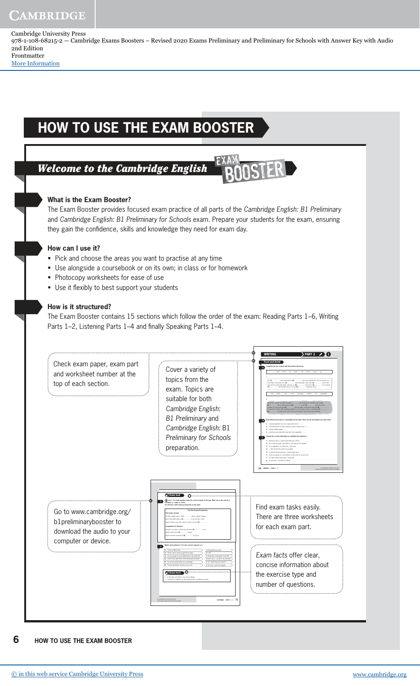Cambridge University Press 978-1-108-68215-2 — Cambridge Exams Boosters – Revised 2020 Exams Preliminary and Preliminary for Schools with Answer Key with Audio 2nd Edition Frontmatter

[More Information](www.cambridge.org/9781108682152)

## **HoW to USE tHE ExAM BooStER**

## Welcome to the Cambridge English

## **What is the Exam Booster?**

The Exam Booster provides focused exam practice of all parts of the Cambridge English: B1 Preliminary and Cambridge English: B1 Preliminary for Schools exam. Prepare your students for the exam, ensuring they gain the confidence, skills and knowledge they need for exam day.

### **How can I use it?**

- Pick and choose the areas you want to practise at any time
- Use alongside a coursebook or on its own; in class or for homework
- Photocopy worksheets for ease of use
- Use it flexibly to best support your students

### **How is it structured?**

The Exam Booster contains 15 sections which follow the order of the exam: Reading Parts 1–6, Writing Parts 1–2, Listening Parts 1–4 and finally Speaking Parts 1–4.



#### **6 HoW to USE tHE ExAM BooStER**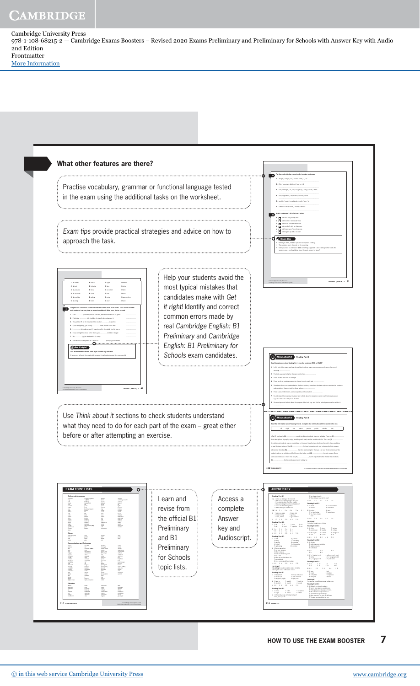Cambridge University Press 978-1-108-68215-2 — Cambridge Exams Boosters – Revised 2020 Exams Preliminary and Preliminary for Schools with Answer Key with Audio 2nd Edition Frontmatter [More Information](www.cambridge.org/9781108682152)



**HoW to USE tHE ExAM BooStER 7**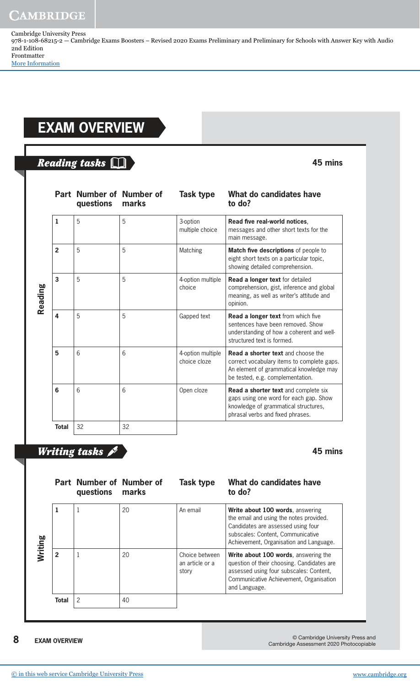Cambridge University Press 978-1-108-68215-2 — Cambridge Exams Boosters – Revised 2020 Exams Preliminary and Preliminary for Schools with Answer Key with Audio 2nd Edition Frontmatter

[More Information](www.cambridge.org/9781108682152)

## **ExAM oVERVIEW**

## Reading tasks  $\square$

|         |                         | Part Number of Number of<br>questions | marks | Task type                         | What do candidates have<br>to do?                                                                                                                                      |
|---------|-------------------------|---------------------------------------|-------|-----------------------------------|------------------------------------------------------------------------------------------------------------------------------------------------------------------------|
| Reading | $\mathbf{1}$            | 5                                     | 5     | 3-option<br>multiple choice       | Read five real-world notices,<br>messages and other short texts for the<br>main message.                                                                               |
|         | $\overline{2}$          | 5                                     | 5     | Matching                          | Match five descriptions of people to<br>eight short texts on a particular topic,<br>showing detailed comprehension.                                                    |
|         | $\overline{\mathbf{3}}$ | 5                                     | 5     | 4-option multiple<br>choice       | Read a longer text for detailed<br>comprehension, gist, inference and global<br>meaning, as well as writer's attitude and<br>opinion.                                  |
|         | 4                       | 5                                     | 5     | Gapped text                       | Read a longer text from which five<br>sentences have been removed. Show<br>understanding of how a coherent and well-<br>structured text is formed.                     |
|         | 5                       | 6                                     | 6     | 4-option multiple<br>choice cloze | <b>Read a shorter text</b> and choose the<br>correct vocabulary items to complete gaps.<br>An element of grammatical knowledge may<br>be tested, e.g. complementation. |
|         | 6                       | 6                                     | 6     | Open cloze                        | Read a shorter text and complete six<br>gaps using one word for each gap. Show<br>knowledge of grammatical structures,<br>phrasal verbs and fixed phrases.             |
|         | <b>Total</b>            | 32                                    | 32    |                                   |                                                                                                                                                                        |

## Writing tasks  $\mathscr{I}$

**45 mins**

**45 mins**

| Writing |                | Part Number of Number of<br>questions | marks | Task type                                  | What do candidates have<br>to do?                                                                                                                                                                 |
|---------|----------------|---------------------------------------|-------|--------------------------------------------|---------------------------------------------------------------------------------------------------------------------------------------------------------------------------------------------------|
|         | 1              |                                       | 20    | An email                                   | Write about 100 words, answering<br>the email and using the notes provided.<br>Candidates are assessed using four<br>subscales: Content, Communicative<br>Achievement, Organisation and Language. |
|         | $\overline{2}$ |                                       | 20    | Choice between<br>an article or a<br>story | Write about 100 words, answering the<br>question of their choosing. Candidates are<br>assessed using four subscales: Content,<br>Communicative Achievement, Organisation<br>and Language.         |
|         | Total          | 2                                     | 40    |                                            |                                                                                                                                                                                                   |

**8 ExAM oVERVIEW**

© Cambridge University Press and Cambridge Assessment 2020 Photocopiable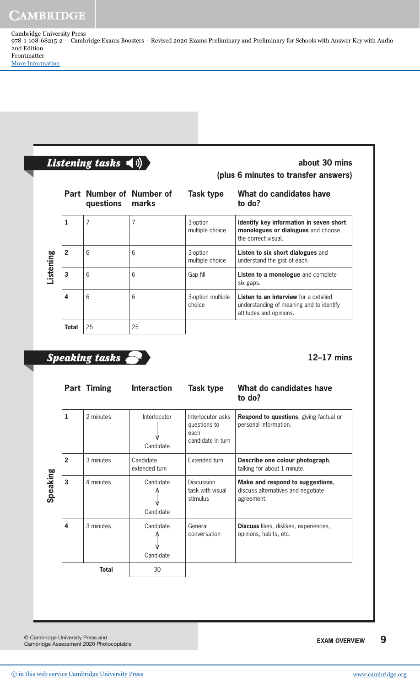Cambridge University Press 978-1-108-68215-2 — Cambridge Exams Boosters – Revised 2020 Exams Preliminary and Preliminary for Schools with Answer Key with Audio 2nd Edition Frontmatter

[More Information](www.cambridge.org/9781108682152)

| Listening tasks |  |  |
|-----------------|--|--|
|-----------------|--|--|

**about 30 mins (plus 6 minutes to transfer answers)**

|                  |              | Part Number of Number of<br>questions | marks | Task type                   | What do candidates have<br>to do?                                                                                   |
|------------------|--------------|---------------------------------------|-------|-----------------------------|---------------------------------------------------------------------------------------------------------------------|
| <b>Listening</b> | 1            |                                       |       | 3-option<br>multiple choice | Identify key information in seven short<br>monologues or dialogues and choose<br>the correct visual.                |
|                  | $\mathbf{2}$ | 6                                     | 6     | 3-option<br>multiple choice | <b>Listen to six short dialogues and</b><br>understand the gist of each.                                            |
|                  | 3            | 6                                     | 6     | Gap fill                    | Listen to a monologue and complete<br>six gaps.                                                                     |
|                  | 4            | 6                                     | 6     | 3-option multiple<br>choice | <b>Listen to an interview</b> for a detailed<br>understanding of meaning and to identify<br>attitudes and opinions. |
|                  | Total        | 25                                    | 25    |                             |                                                                                                                     |

## Speaking tasks

## **12–17 mins**

|          |                | <b>Part Timing</b> | <b>Interaction</b>               | <b>Task type</b>                                               | What do candidates have<br>to do?                                                    |
|----------|----------------|--------------------|----------------------------------|----------------------------------------------------------------|--------------------------------------------------------------------------------------|
|          | 1              | 2 minutes          | <b>Interlocutor</b><br>Candidate | Interlocutor asks<br>questions to<br>each<br>candidate in turn | <b>Respond to questions, giving factual or</b><br>personal information.              |
|          | $\overline{2}$ | 3 minutes          | Candidate<br>extended turn       | Extended turn                                                  | Describe one colour photograph,<br>talking for about 1 minute.                       |
| Speaking | $\overline{3}$ | 4 minutes          | Candidate<br>Candidate           | Discussion<br>task with visual<br>stimulus                     | Make and respond to suggestions,<br>discuss alternatives and negotiate<br>agreement. |
|          | 4              | 3 minutes          | Candidate<br>Candidate           | General<br>conversation                                        | <b>Discuss</b> likes, dislikes, experiences,<br>opinions, habits, etc.               |
|          |                | Total              | 30                               |                                                                |                                                                                      |

© Cambridge University Press and Cambridge Assessment 2020 Photocopiable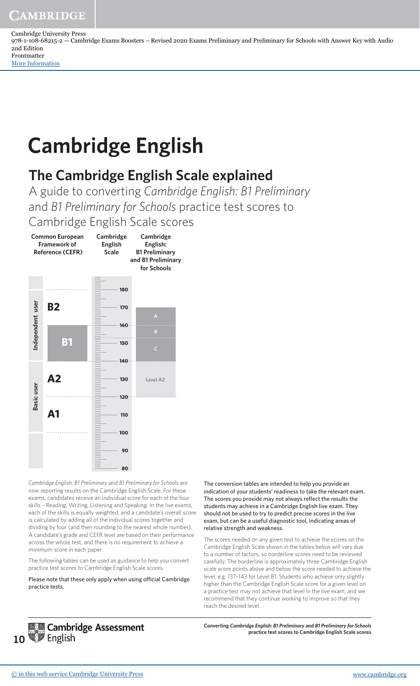[More Information](www.cambridge.org/9781108682152)

Cambridge University Press 978-1-108-68215-2 — Cambridge Exams Boosters – Revised 2020 Exams Preliminary and Preliminary for Schools with Answer Key with Audio 2nd Edition Frontmatter

## **Cambridge English**

## **The Cambridge English Scale explained**

A guide to converting *Cambridge English: B1 Preliminary* and *B1 Preliminary for Schools* practice test scores to Cambridge English Scale scores



*Cambridge English: B1 Preliminary* and *B1 Preliminary for Schools* are now reporting results on the Cambridge English Scale. For these exams, candidates receive an individual score for each of the four skills – Reading, Writing, Listening and Speaking. In the live exams, each of the skills is equally weighted, and a candidate's overall score is calculated by adding all of the individual scores together and dividing by four (and then rounding to the nearest whole number). A candidate's grade and CEFR level are based on their performance across the whole test, and there is no requirement to achieve a minimum score in each paper.

The following tables can be used as guidance to help you convert practice test scores to Cambridge English Scale scores.

Please note that these only apply when using oficial Cambridge practice tests.

The conversion tables are intended to help you provide an indication of your students' readiness to take the relevant exam. The scores you provide may not always reflect the results the students may achieve in a Cambridge English live exam. They should not be used to try to predict precise scores in the live exam, but can be a useful diagnostic tool, indicating areas of relative strength and weakness.

The scores needed on any given test to achieve the scores on the Cambridge English Scale shown in the tables below will vary due to a number of factors, so borderline scores need to be reviewed carefully. The borderline is approximately three Cambridge English scale score points above and below the score needed to achieve the level, e.g. 137–143 for Level B1. Students who achieve only slightly higher than the Cambridge English Scale score for a given level on a practice test may not achieve that level in the live exam, and we recommend that they continue working to improve so that they reach the desired level.



**Converting** *Cambridge English: B1 Preliminary* **and** *B1 Preliminary for Schools* **practice test scores to Cambridge English Scale scores**